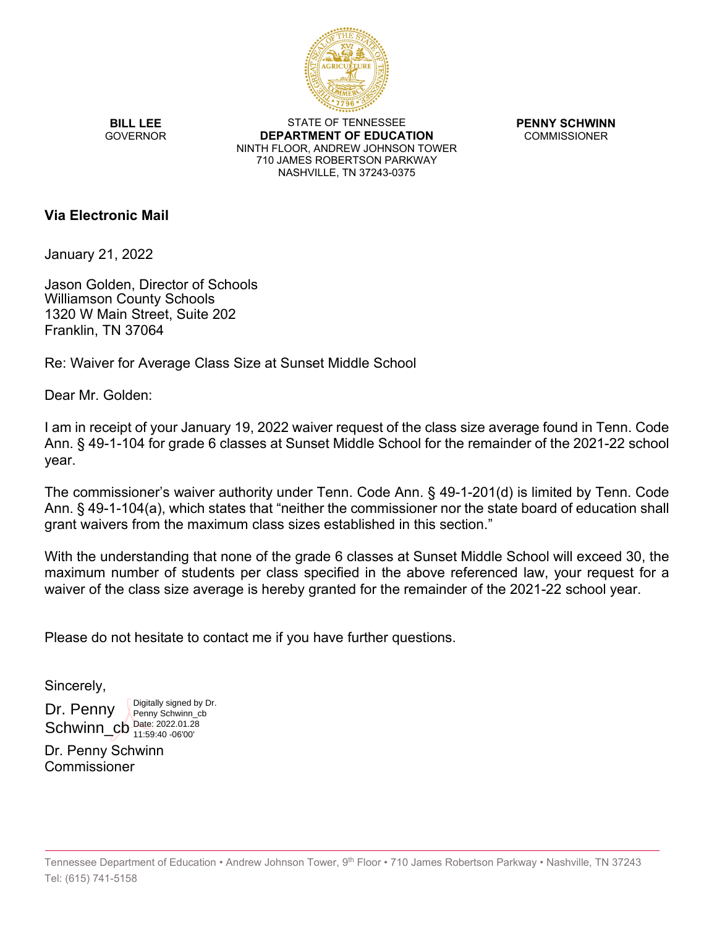

**BILL LEE GOVERNOR** 

STATE OF TENNESSEE **DEPARTMENT OF EDUCATION** NINTH FLOOR, ANDREW JOHNSON TOWER 710 JAMES ROBERTSON PARKWAY NASHVILLE, TN 37243-0375

**PENNY SCHWINN COMMISSIONER** 

### **Via Electronic Mail**

January 21, 2022

Jason Golden, Director of Schools Williamson County Schools 1320 W Main Street, Suite 202 Franklin, TN 37064

Re: Waiver for Average Class Size at Sunset Middle School

Dear Mr. Golden:

I am in receipt of your January 19, 2022 waiver request of the class size average found in Tenn. Code Ann. § 49-1-104 for grade 6 classes at Sunset Middle School for the remainder of the 2021-22 school year.

The commissioner's waiver authority under Tenn. Code Ann. § 49-1-201(d) is limited by Tenn. Code Ann. § 49-1-104(a), which states that "neither the commissioner nor the state board of education shall grant waivers from the maximum class sizes established in this section."

With the understanding that none of the grade 6 classes at Sunset Middle School will exceed 30, the maximum number of students per class specified in the above referenced law, your request for a waiver of the class size average is hereby granted for the remainder of the 2021-22 school year.

Please do not hesitate to contact me if you have further questions.

Sincerely,

Dr. Penny  $SchwinCb_{11:59:40-06'00'}^{Date: 2022.01.28}$ Digitally signed by Dr. Penny Schwinn\_cb 11:59:40 -06'00'

Dr. Penny Schwinn Commissioner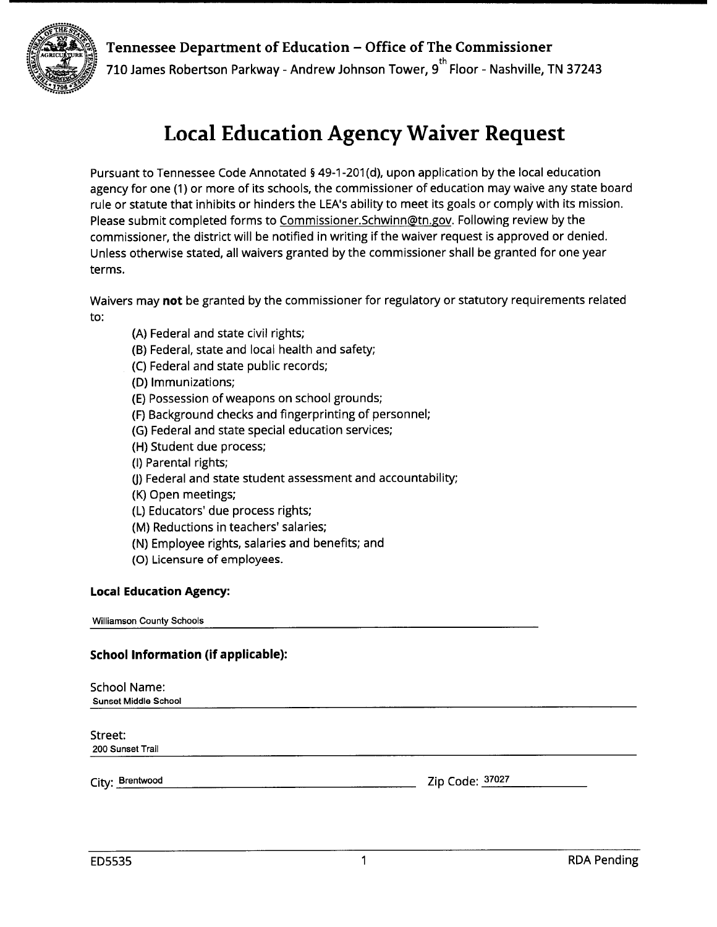# Tennessee Department of Education - Office of The Commissioner



710 James Robertson Parkway - Andrew Johnson Tower, 9<sup>th</sup> Floor - Nashville, TN 37243

# **Local Education Agency Waiver Request**

Pursuant to Tennessee Code Annotated § 49-1-201(d), upon application by the local education agency for one (1) or more of its schools, the commissioner of education may waive any state board rule or statute that inhibits or hinders the LEA's ability to meet its goals or comply with its mission. Please submit completed forms to Commissioner.Schwinn@tn.gov. Following review by the commissioner, the district will be notified in writing if the waiver request is approved or denied. Unless otherwise stated, all waivers granted by the commissioner shall be granted for one year terms.

Waivers may not be granted by the commissioner for regulatory or statutory requirements related to:

- (A) Federal and state civil rights;
- (B) Federal, state and local health and safety;
- (C) Federal and state public records;
- (D) Immunizations;
- (E) Possession of weapons on school grounds;
- (F) Background checks and fingerprinting of personnel;
- (G) Federal and state special education services;
- (H) Student due process;
- (I) Parental rights;
- (I) Federal and state student assessment and accountability;
- (K) Open meetings;
- (L) Educators' due process rights;
- (M) Reductions in teachers' salaries;
- (N) Employee rights, salaries and benefits; and
- (O) Licensure of employees.

#### **Local Education Agency:**

**Williamson County Schools** 

#### **School Information (if applicable):**

| <b>School Name:</b><br><b>Sunset Middle School</b> |                 |
|----------------------------------------------------|-----------------|
| Street:<br>200 Sunset Trail                        |                 |
| Brentwood<br>City:                                 | Zip Code: 37027 |